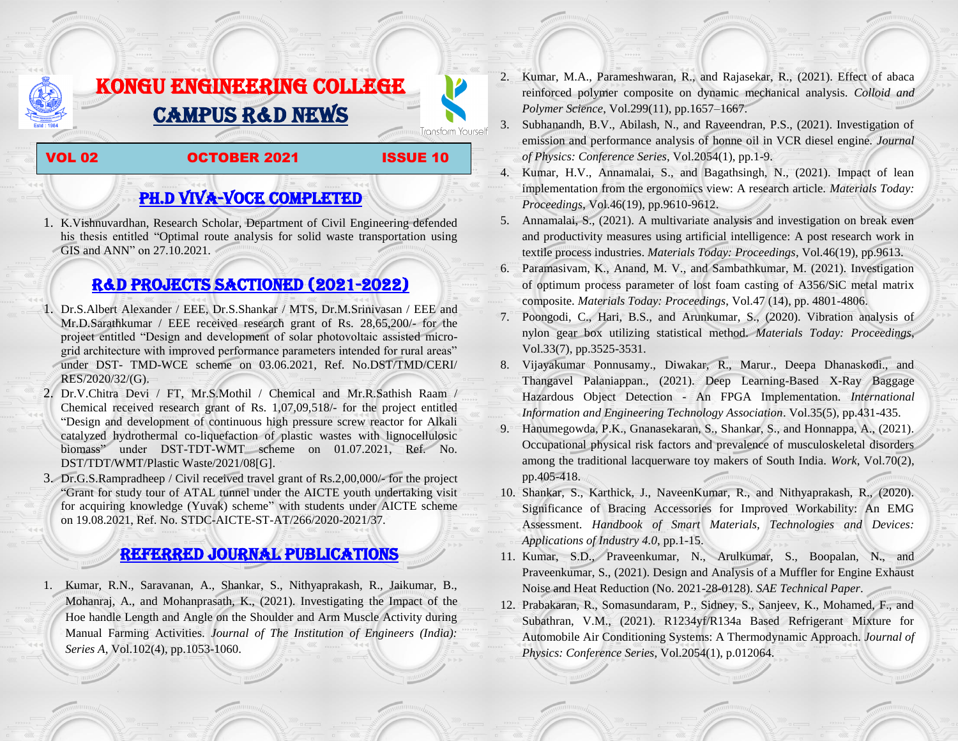# KONGU ENGINEERING COLLEGE CAMPUS R&D NEWS

#### VOL 02 **OCTOBER 2021** ISSUE 10

**Transform Yourself** 

## PH.D VIVA-VOCE COMPLETED

1. K.Vishnuvardhan, Research Scholar, Department of Civil Engineering defended his thesis entitled "Optimal route analysis for solid waste transportation using GIS and ANN" on 27.10.2021.

## R&D PROJECTS SACTIONED (2021-2022)

- 1. Dr.S.Albert Alexander / EEE, Dr.S.Shankar / MTS, Dr.M.Srinivasan / EEE and Mr.D.Sarathkumar / EEE received research grant of Rs. 28,65,200/- for the project entitled "Design and development of solar photovoltaic assisted microgrid architecture with improved performance parameters intended for rural areas" under DST- TMD-WCE scheme on 03.06.2021, Ref. No.DST/TMD/CERI/ RES/2020/32/(G).
- 2. Dr.V.Chitra Devi / FT, Mr.S.Mothil / Chemical and Mr.R.Sathish Raam / Chemical received research grant of Rs. 1,07,09,518/- for the project entitled "Design and development of continuous high pressure screw reactor for Alkali catalyzed hydrothermal co-liquefaction of plastic wastes with lignocellulosic biomass" under DST-TDT-WMT scheme on 01.07.2021, Ref. No. DST/TDT/WMT/Plastic Waste/2021/08[G].
- 3. Dr.G.S.Rampradheep / Civil received travel grant of Rs.2,00,000/- for the project "Grant for study tour of ATAL tunnel under the AICTE youth undertaking visit for acquiring knowledge (Yuvak) scheme" with students under AICTE scheme on 19.08.2021, Ref. No. STDC-AICTE-ST-AT/266/2020-2021/37.

### Referred JOURNAL publications

1. Kumar, R.N., Saravanan, A., Shankar, S., Nithyaprakash, R., Jaikumar, B., Mohanraj, A., and Mohanprasath, K., (2021). Investigating the Impact of the Hoe handle Length and Angle on the Shoulder and Arm Muscle Activity during Manual Farming Activities. *Journal of The Institution of Engineers (India): Series A*, Vol.102(4), pp.1053-1060.

- 2. Kumar, M.A., Parameshwaran, R., and Rajasekar, R., (2021). Effect of abaca reinforced polymer composite on dynamic mechanical analysis. *Colloid and Polymer Science*, Vol.299(11), pp.1657–1667.
- 3. Subhanandh, B.V., Abilash, N., and Raveendran, P.S., (2021). Investigation of emission and performance analysis of honne oil in VCR diesel engine. *Journal of Physics: Conference Series*, Vol.2054(1), pp.1-9.
- 4. Kumar, H.V., Annamalai, S., and Bagathsingh, N., (2021). Impact of lean implementation from the ergonomics view: A research article. *Materials Today: Proceedings*, Vol.46(19), pp.9610-9612.
- 5. Annamalai, S., (2021). A multivariate analysis and investigation on break even and productivity measures using artificial intelligence: A post research work in textile process industries. *Materials Today: Proceedings*, Vol.46(19), pp.9613.
- 6. Paramasivam, K., Anand, M. V., and Sambathkumar, M. (2021). Investigation of optimum process parameter of lost foam casting of A356/SiC metal matrix composite. *Materials Today: Proceedings*, Vol.47 (14), pp. 4801-4806.
- 7. Poongodi, C., Hari, B.S., and Arunkumar, S., (2020). Vibration analysis of nylon gear box utilizing statistical method. *Materials Today: Proceedings*, Vol.33(7), pp.3525-3531.
- 8. Vijayakumar Ponnusamy., Diwakar, R., Marur., Deepa Dhanaskodi., and Thangavel Palaniappan., (2021). Deep Learning-Based X-Ray Baggage Hazardous Object Detection - An FPGA Implementation. *International Information and Engineering Technology Association*. Vol.35(5), pp.431-435.
- 9. Hanumegowda, P.K., Gnanasekaran, S., Shankar, S., and Honnappa, A., (2021). Occupational physical risk factors and prevalence of musculoskeletal disorders among the traditional lacquerware toy makers of South India. *Work*, Vol.70(2), pp.405-418.
- 10. Shankar, S., Karthick, J., NaveenKumar, R., and Nithyaprakash, R., (2020). Significance of Bracing Accessories for Improved Workability: An EMG Assessment. *Handbook of Smart Materials, Technologies and Devices: Applications of Industry 4.0*, pp.1-15.
- 11. Kumar, S.D., Praveenkumar, N., Arulkumar, S., Boopalan, N., and Praveenkumar, S., (2021). Design and Analysis of a Muffler for Engine Exhaust Noise and Heat Reduction (No. 2021-28-0128). *SAE Technical Paper*.
- 12. Prabakaran, R., Somasundaram, P., Sidney, S., Sanjeev, K., Mohamed, F., and Subathran, V.M., (2021). R1234yf/R134a Based Refrigerant Mixture for Automobile Air Conditioning Systems: A Thermodynamic Approach. *Journal of Physics: Conference Series*, Vol.2054(1), p.012064.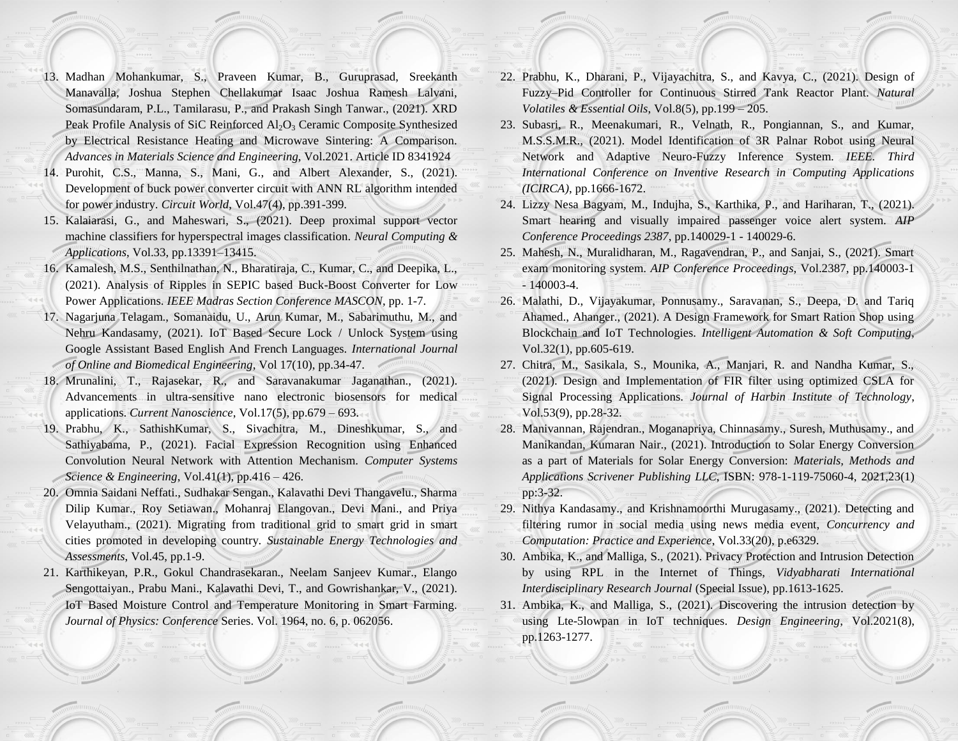- 13. Madhan Mohankumar, S., Praveen Kumar, B., Guruprasad, Sreekanth Manavalla, Joshua Stephen Chellakumar Isaac Joshua Ramesh Lalvani, Somasundaram, P.L., Tamilarasu, P., and Prakash Singh Tanwar., (2021). XRD Peak Profile Analysis of SiC Reinforced  $Al_2O_3$  Ceramic Composite Synthesized by Electrical Resistance Heating and Microwave Sintering: A Comparison. *Advances in Materials Science and Engineering*, Vol.2021. Article ID 8341924
- 14. Purohit, C.S., Manna, S., Mani, G., and Albert Alexander, S., (2021). Development of buck power converter circuit with ANN RL algorithm intended for power industry. *Circuit World*, Vol.47(4), pp.391-399.
- 15. Kalaiarasi, G., and Maheswari, S., (2021). Deep proximal support vector machine classifiers for hyperspectral images classification. *Neural Computing & Applications*, Vol.33, pp.13391–13415.
- 16. Kamalesh, M.S., Senthilnathan, N., Bharatiraja, C., Kumar, C., and Deepika, L., (2021). Analysis of Ripples in SEPIC based Buck-Boost Converter for Low Power Applications. *IEEE Madras Section Conference MASCON*, pp. 1-7.
- 17. Nagarjuna Telagam., Somanaidu, U., Arun Kumar, M., Sabarimuthu, M., and Nehru Kandasamy, (2021). IoT Based Secure Lock / Unlock System using Google Assistant Based English And French Languages. *International Journal of Online and Biomedical Engineering*, Vol 17(10), pp.34-47.
- 18. Mrunalini, T., Rajasekar, R., and Saravanakumar Jaganathan., (2021). Advancements in ultra-sensitive nano electronic biosensors for medical applications. *Current Nanoscience*, Vol.17(5), pp.679 – 693.
- 19. Prabhu, K., SathishKumar, S., Sivachitra, M., Dineshkumar, S., and Sathiyabama, P., (2021). Facial Expression Recognition using Enhanced Convolution Neural Network with Attention Mechanism. *Computer Systems Science & Engineering*, Vol.41(1), pp.416 – 426.
- 20. Omnia Saidani Neffati., Sudhakar Sengan., Kalavathi Devi Thangavelu., Sharma Dilip Kumar., Roy Setiawan., Mohanraj Elangovan., Devi Mani., and Priya Velayutham., (2021). Migrating from traditional grid to smart grid in smart cities promoted in developing country. *Sustainable Energy Technologies and Assessments*, Vol.45, pp.1-9.
- 21. Karthikeyan, P.R., Gokul Chandrasekaran., Neelam Sanjeev Kumar., Elango Sengottaiyan., Prabu Mani., Kalavathi Devi, T., and Gowrishankar, V., (2021). IoT Based Moisture Control and Temperature Monitoring in Smart Farming. *Journal of Physics: Conference* Series. Vol. 1964, no. 6, p. 062056.
- 22. Prabhu, K., Dharani, P., Vijayachitra, S., and Kavya, C., (2021). Design of Fuzzy–Pid Controller for Continuous Stirred Tank Reactor Plant. *Natural Volatiles & Essential Oils*, Vol.8(5), pp.199 – 205.
- 23. Subasri, R., Meenakumari, R., Velnath, R., Pongiannan, S., and Kumar, M.S.S.M.R., (2021). Model Identification of 3R Palnar Robot using Neural Network and Adaptive Neuro-Fuzzy Inference System. *IEEE. Third International Conference on Inventive Research in Computing Applications (ICIRCA)*, pp.1666-1672.
- 24. Lizzy Nesa Bagyam, M., Indujha, S., Karthika, P., and Hariharan, T., (2021). Smart hearing and visually impaired passenger voice alert system. *AIP Conference Proceedings 2387*, pp.140029-1 - 140029-6.
- 25. Mahesh, N., Muralidharan, M., Ragavendran, P., and Sanjai, S., (2021). Smart exam monitoring system. *AIP Conference Proceedings*, Vol.2387, pp.140003-1  $-140003-4.$
- 26. Malathi, D., Vijayakumar, Ponnusamy., Saravanan, S., Deepa, D. and Tariq Ahamed., Ahanger., (2021). A Design Framework for Smart Ration Shop using Blockchain and IoT Technologies. *Intelligent Automation & Soft Computing*, Vol.32(1), pp.605-619.
- 27. Chitra, M., Sasikala, S., Mounika, A., Manjari, R. and Nandha Kumar, S., (2021). Design and Implementation of FIR filter using optimized CSLA for Signal Processing Applications. *Journal of Harbin Institute of Technology*, Vol.53(9), pp.28-32.
- 28. Manivannan, Rajendran., Moganapriya, Chinnasamy., Suresh, Muthusamy., and Manikandan, Kumaran Nair., (2021). Introduction to Solar Energy Conversion as a part of Materials for Solar Energy Conversion: *Materials, Methods and Applications Scrivener Publishing LLC*, ISBN: 978-1-119-75060-4, 2021,23(1) pp:3-32.
- 29. Nithya Kandasamy., and Krishnamoorthi Murugasamy., (2021). Detecting and filtering rumor in social media using news media event, *Concurrency and Computation: Practice and Experience*, Vol.33(20), p.e6329.
- 30. Ambika, K., and Malliga, S., (2021). Privacy Protection and Intrusion Detection by using RPL in the Internet of Things, *Vidyabharati International Interdisciplinary Research Journal* (Special Issue), pp.1613-1625.
- 31. Ambika, K., and Malliga, S., (2021). Discovering the intrusion detection by using Lte-5lowpan in IoT techniques. *Design Engineering*, Vol.2021(8), pp.1263-1277.